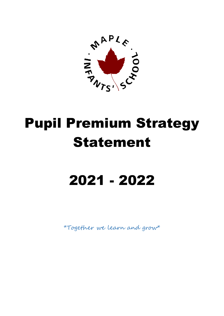

# Pupil Premium Strategy Statement

# 2021 - 2022

\*Together we learn and grow\*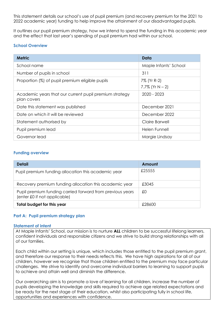This statement details our school's use of pupil premium (and recovery premium for the 2021 to 2022 academic year) funding to help improve the attainment of our disadvantaged pupils.

It outlines our pupil premium strategy, how we intend to spend the funding in this academic year and the effect that last year's spending of pupil premium had within our school.

# **School Overview**

| <b>Metric</b>                                                         | Data                              |
|-----------------------------------------------------------------------|-----------------------------------|
| School name                                                           | Maple Infants' School             |
| Number of pupils in school                                            | 311                               |
| Proportion (%) of pupil premium eligible pupils                       | 7% (Yr R-2)<br>7.7% (Yr $N - 2$ ) |
| Academic years that our current pupil premium strategy<br>plan covers | 2020 - 2023                       |
| Date this statement was published                                     | December 2021                     |
| Date on which it will be reviewed                                     | December 2022                     |
| Statement authorised by                                               | Claire Barwell                    |
| Pupil premium lead                                                    | Helen Funnell                     |
| Governor lead                                                         | Margie Lindsay                    |

# **Funding overview**

| <b>Detail</b>                                                                             | Amount |
|-------------------------------------------------------------------------------------------|--------|
| Pupil premium funding allocation this academic year                                       | £25555 |
| Recovery premium funding allocation this academic year                                    | £3045  |
| Pupil premium funding carried forward from previous years<br>(enter £0 if not applicable) | £0     |
| Total budget for this year                                                                | £28600 |

### **Part A: Pupil premium strategy plan**

#### **Statement of intent**

At Maple Infants' School, our mission is to nurture **ALL** children to be successful lifelong learners, confident individuals and responsible citizens and we strive to build strong relationships with all of our families.

Each child within our setting is unique, which includes those entitled to the pupil premium grant, and therefore our response to their needs reflects this. We have high aspirations for all of our children, however we recognise that those children entitled to the premium may face particular challenges. We strive to identify and overcome individual barriers to learning to support pupils to achieve and attain well and diminish the difference.

Our overarching aim is to promote a love of learning for all children, increase the number of pupils developing the knowledge and skills required to achieve age related expectations and be ready for the next stage of their education, whilst also participating fully in school life, opportunities and experiences with confidence.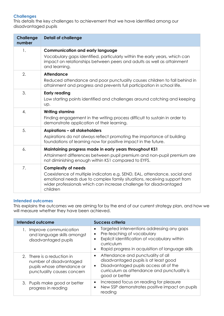# **Challenges**

This details the key challenges to achievement that we have identified among our disadvantaged pupils

| <b>Challenge</b><br>number | <b>Detail of challenge</b>                                                                                                                                                                                                                                            |
|----------------------------|-----------------------------------------------------------------------------------------------------------------------------------------------------------------------------------------------------------------------------------------------------------------------|
| 1.                         | <b>Communication and early language</b><br>Vocabulary gaps identified, particularly within the early years, which can<br>impact on relationships between peers and adults as well as attainment<br>and learning.                                                      |
| 2.                         | <b>Attendance</b><br>Reduced attendance and poor punctuality causes children to fall behind in<br>attainment and progress and prevents full participation in school life.                                                                                             |
| 3.                         | <b>Early reading</b><br>Low starting points identified and challenges around catching and keeping<br>Up.                                                                                                                                                              |
| 4.                         | <b>Writing stamina</b><br>Finding engagement in the writing process difficult to sustain in order to<br>demonstrate application of their learning.                                                                                                                    |
| 5.                         | <b>Aspirations - all stakeholders</b><br>Aspirations do not always reflect promoting the importance of building<br>foundations of learning now for positive impact in the future.                                                                                     |
| 6.                         | Maintaining progress made in early years throughout KS1<br>Attainment differences between pupil premium and non-pupil premium are<br>not diminishing enough within KS1 compared to EYFS.                                                                              |
| 7.                         | <b>Complexity of needs</b><br>Coexistence of multiple indicators e.g. SEND, EAL, attendance, social and<br>emotional needs due to complex family situations, receiving support from<br>wider professionals which can increase challenge for disadvantaged<br>children |

### **Intended outcomes**

This explains the outcomes we are aiming for by the end of our current strategy plan, and how we will measure whether they have been achieved.

| Intended outcome                                                                                                  | <b>Success criteria</b>                                                                                                                                                                                              |
|-------------------------------------------------------------------------------------------------------------------|----------------------------------------------------------------------------------------------------------------------------------------------------------------------------------------------------------------------|
| 1. Improve communication<br>and language skills amongst<br>disadvantaged pupils                                   | Targeted interventions addressing any gaps<br>Pre-teaching of vocabulary<br>$\bullet$<br>Explicit identification of vocabulary within<br>curriculum<br>Rapid progress in acquisition of language skills<br>$\bullet$ |
| 2. There is a reduction in<br>number of disadvantaged<br>pupils whose attendance or<br>punctuality causes concern | Attendance and punctuality of all<br>$\bullet$<br>disadvantaged pupils is at least good<br>Disadvantaged pupils access all of the<br>$\bullet$<br>curriculum as attendance and punctuality is<br>good or better      |
| 3. Pupils make good or better<br>progress in reading                                                              | Increased focus on reading for pleasure<br>$\bullet$<br>New SSP demonstrates positive impact on pupils<br>$\bullet$<br>reading                                                                                       |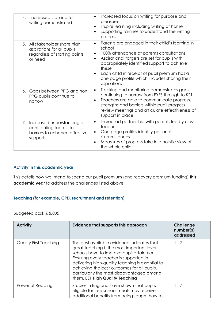| Increased staming for<br>4.<br>writing demonstrated                                                     | Increased focus on writing for purpose and<br>$\bullet$<br>pleasure<br>Inspire learning including writing at home<br>$\bullet$<br>Supporting families to understand the writing<br>$\bullet$<br>process                                                                                                                                                                            |
|---------------------------------------------------------------------------------------------------------|------------------------------------------------------------------------------------------------------------------------------------------------------------------------------------------------------------------------------------------------------------------------------------------------------------------------------------------------------------------------------------|
| 5. All stakeholder share high<br>aspirations for all pupils<br>regardless of starting points<br>or need | Parents are engaged in their child's learning in<br>$\bullet$<br>school<br>100% attendance at parents consultations<br>$\bullet$<br>Aspirational targets are set for pupils with<br>$\bullet$<br>appropriately identified support to achieve<br>these<br>Each child in receipt of pupil premium has a<br>$\bullet$<br>one page profile which includes sharing their<br>aspirations |
| 6. Gaps between PPG and non<br>PPG pupils continue to<br>narrow                                         | Tracking and monitoring demonstrates gaps<br>$\bullet$<br>continuing to narrow from EYFS through to KS1<br>Teachers are able to communicate progress,<br>$\bullet$<br>strengths and barriers within pupil progress<br>review meetings and articulate effectiveness of<br>support in place                                                                                          |
| 7. Increased understanding of<br>contributing factors to<br>barriers to enhance effective<br>support    | Increased partnership with parents led by class<br>$\bullet$<br>teachers<br>One page profiles identify personal<br>$\bullet$<br>circumstances<br>Measures of progress take in a holistic view of<br>$\bullet$<br>the whole child                                                                                                                                                   |

# **Activity in this academic year**

This details how we intend to spend our pupil premium (and recovery premium funding) **this academic year** to address the challenges listed above.

# **Teaching (for example, CPD, recruitment and retention)**

Budgeted cost: £ *8,000*

| <b>Activity</b>        | Evidence that supports this approach                                                                                                                                                                                                                                                                                                                               | Challenge<br>number(s)<br>addressed |
|------------------------|--------------------------------------------------------------------------------------------------------------------------------------------------------------------------------------------------------------------------------------------------------------------------------------------------------------------------------------------------------------------|-------------------------------------|
| Quality First Teaching | The best available evidence indicates that<br>great teaching is the most important lever<br>schools have to improve pupil attainment.<br>Ensuring every teacher is supported in<br>delivering high-quality teaching is essential to<br>achieving the best outcomes for all pupils,<br>particularly the most disadvantaged among<br>them. EEF High Quality Teaching | $1 - 7$                             |
| Power of Reading       | Studies in England have shown that pupils<br>eligible for free school meals may receive<br>additional benefits from being taught how to                                                                                                                                                                                                                            | $1 - 7$                             |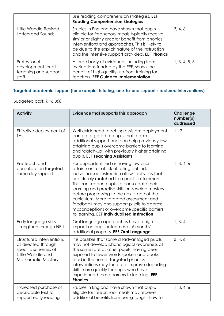|                                                                      | use reading comprehension strategies. <b>EEF</b><br><b>Reading Comprehension Strategies</b>                                                                                                                                                                                                                 |               |
|----------------------------------------------------------------------|-------------------------------------------------------------------------------------------------------------------------------------------------------------------------------------------------------------------------------------------------------------------------------------------------------------|---------------|
| Little Wandle Revised<br>Letters and Sounds                          | Studies in England have shown that pupils<br>eligible for free school meals typically receive<br>similar or slightly greater benefit from phonics<br>interventions and approaches. This is likely to<br>be due to the explicit nature of the instruction<br>and the intensive support provided. EEF Phonics | 3, 4, 6       |
| Professional<br>development for all<br>teaching and support<br>staff | A large body of evidence, including from<br>evaluations funded by the EEF, shows the<br>benefit of high-quality, up-front training for<br>teachers. EEF Guide to Implementation                                                                                                                             | 1, 3, 4, 5, 6 |

# **Targeted academic support (for example, tutoring, one-to-one support structured interventions)**

Budgeted cost: £ *16,000*

| <b>Activity</b>                                                                                                          | Evidence that supports this approach                                                                                                                                                                                                                                                                                                                                                                                                                                                                                                   | <b>Challenge</b><br>number(s)<br>addressed |
|--------------------------------------------------------------------------------------------------------------------------|----------------------------------------------------------------------------------------------------------------------------------------------------------------------------------------------------------------------------------------------------------------------------------------------------------------------------------------------------------------------------------------------------------------------------------------------------------------------------------------------------------------------------------------|--------------------------------------------|
| Effective deployment of<br>TAs                                                                                           | Well-evidenced teaching assistant deployment<br>can be targeted at pupils that require<br>additional support and can help previously low<br>attaining pupils overcome barriers to learning<br>and 'catch-up' with previously higher attaining<br>pupils. EEF Teaching Assistants                                                                                                                                                                                                                                                       | $1 - 7$                                    |
| Pre-teach and<br>consolidation targeted<br>same day support                                                              | For pupils identified as having low prior<br>attainment or at risk of falling behind,<br>individualised instruction allows activities that<br>are closely matched to a pupil's attainment.<br>This can support pupils to consolidate their<br>learning and practise skills or develop mastery<br>before progressing to the next stage of the<br>curriculum. More targeted assessment and<br>feedback may also support pupils to address<br>misconceptions or overcome specific barriers<br>to learning. EEF Individualised Instruction | 1, 3, 4, 6                                 |
| Early language skills<br>strengthen through NELI                                                                         | Oral language approaches have a high<br>impact on pupil outcomes of 6 months'<br>additional progress. EEF Oral Language                                                                                                                                                                                                                                                                                                                                                                                                                | 1, 3, 4                                    |
| Structured interventions<br>as directed through<br>specific schemes of<br>Little Wandle and<br><b>Mathematic Mastery</b> | It is possible that some disadvantaged pupils<br>may not develop phonological awareness at<br>the same rate as other pupils, having been<br>exposed to fewer words spoken and books<br>read in the home. Targeted phonics<br>interventions may therefore improve decoding<br>skills more quickly for pupils who have<br>experienced these barriers to learning. EEF<br><b>Phonics</b>                                                                                                                                                  | 3, 4, 6                                    |
| Increased purchase of<br>decodable text to<br>support early reading                                                      | Studies in England have shown that pupils<br>eligible for free school meals may receive<br>additional benefits from being taught how to                                                                                                                                                                                                                                                                                                                                                                                                | 1, 3, 4, 6                                 |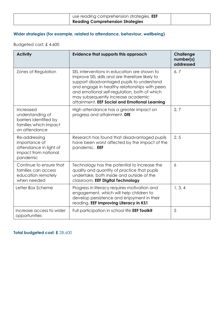| use reading comprehension strategies. <b>EEF</b> |  |
|--------------------------------------------------|--|
| <b>Reading Comprehension Strategies</b>          |  |

# **Wider strategies (for example, related to attendance, behaviour, wellbeing)**

Budgeted cost: £ 4,600

| <b>Activity</b>                                                                                   | <b>Evidence that supports this approach</b>                                                                                                                                                                                                                                                                                          | <b>Challenge</b><br>number(s)<br>addressed |
|---------------------------------------------------------------------------------------------------|--------------------------------------------------------------------------------------------------------------------------------------------------------------------------------------------------------------------------------------------------------------------------------------------------------------------------------------|--------------------------------------------|
| Zones of Regulation                                                                               | SEL interventions in education are shown to<br>improve SEL skills and are therefore likely to<br>support disadvantaged pupils to understand<br>and engage in healthy relationships with peers<br>and emotional self-regulation, both of which<br>may subsequently increase academic<br>attainment. EEF Social and Emotional Learning | 6, 7                                       |
| Increased<br>understanding of<br>barriers identified by<br>families which impact<br>on attendance | High attendance has a greater impact on<br>progress and attainment. DfE                                                                                                                                                                                                                                                              | 2, 7                                       |
| Re-addressing<br>importance of<br>attendance in light of<br>impact from national<br>pandemic      | Research has found that disadvantaged pupils<br>have been worst affected by the impact of the<br>pandemic. EEF                                                                                                                                                                                                                       | 2, 5                                       |
| Continue to ensure that<br>families can access<br>education remotely<br>when needed               | Technology has the potential to increase the<br>quality and quantity of practice that pupils<br>undertake, both inside and outside of the<br>classroom. EEF Digital Technology                                                                                                                                                       | 6                                          |
| Letter Box Scheme                                                                                 | Progress in literacy requires motivation and<br>engagement, which will help children to<br>develop persistence and enjoyment in their<br>reading. EEF Improving Literacy in KS1                                                                                                                                                      | 1, 3, 4                                    |
| Increase access to wider<br>opportunities                                                         | Full participation in school life EEF Toolkit                                                                                                                                                                                                                                                                                        | 5                                          |

**Total budgeted cost: £** 28,600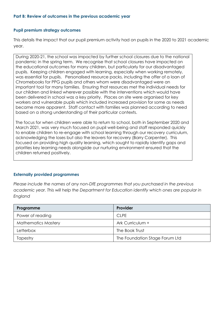### **Part B: Review of outcomes in the previous academic year**

#### **Pupil premium strategy outcomes**

This details the impact that our pupil premium activity had on pupils in the 2020 to 2021 academic year.

During 2020-21, the school was impacted by further school closures due to the national pandemic in the spring term. We recognise that school closures have impacted on the educational outcomes for many children, but particularly for our disadvantaged pupils. Keeping children engaged with learning, especially when working remotely, was essential for pupils. Personalised resource packs, including the offer of a loan of Chromebooks for PPG pupils and others whom were disadvantaged were an important tool for many families. Ensuring that resources met the individual needs for our children and linked wherever possible with the interventions which would have been delivered in school was a key priority. Places on site were organised for key workers and vulnerable pupils which included increased provision for some as needs became more apparent. Staff contact with families was planned according to need based on a strong understanding of their particular contexts.

The focus for when children were able to return to school, both in September 2020 and March 2021, was very much focused on pupil well-being and staff responded quickly to enable children to re-engage with school learning through our recovery curriculum, acknowledging the loses but also the leavers for recovery (Barry Carpenter). This focused on providing high quality learning, which sought to rapidly identify gaps and priorities key learning needs alongside our nurturing environment ensured that the children returned positively.

### **Externally provided programmes**

*Please include the names of any non-DfE programmes that you purchased in the previous academic year. This will help the Department for Education identify which ones are popular in England*

| Programme                  | Provider                       |
|----------------------------|--------------------------------|
| Power of reading           | <b>CLPE</b>                    |
| <b>Mathematics Mastery</b> | Ark Curriculum +               |
| Letterbox                  | The Book Trust                 |
| Tapestry                   | The Foundation Stage Forum Ltd |